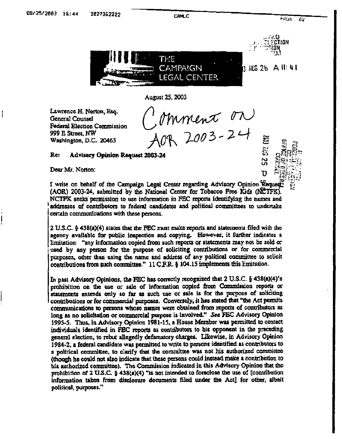**CAMLC** 

**S2 00%** 

'n



August 25, 2003

Lawrence H. Norton, Esq. **General Counsel** Federal Election Commission 999 E Street, NW Washington, D.C. 20463

Mmment on

## Re: **Advisory Opinion Request 2003-24**

Dear Mr. Norton:

ł

I write on behalf of the Campaign Legal Center regarding Advisory Opinion Request (AOR) 2003-24, submitted by the National Center for Tobacco Free Kids (NCTFK). NCTFK seeks permission to use information in FEC reports identifying the names and addresses of contributors to federal candidates and political committees to undertake certain communications with these persons.

 $2$  U.S.C. § 438(a)(4) states that the FEC must make reports and statements filed with the agency available for public inspection and copying. However, it further indicates a limitation: "any information copied from such reports or statements may not be sold or used by any person for the purpose of soliciting contributions or for commercial purposes, other than using the name and address of any political committee to solicit contributions from such committee."  $11 \text{ C.F.R.}$  § 104.15 implements this limitation.

In past Advisory Opinions, the FEC has correctly recognized that 2 U.S.C. § 438(a)(4)'s prohibition on the use or sale of information copied from Commission reports or statements extends only so far as such use or sale is for the purpose of soliciting contributions or for commercial purposes. Conversely, it has stated that "the Act permits communications to persons whose names were obtained from reports of contributors as long as no solicitation or commercial purpose is involved." See FEC Advisory Opinion 1995-5. Thus, in Advisory Opinion 1981-15, a House Member was permitted to contact individuals identified in FEC reports as contributors to his opponent in the preceding general election, to rebut allegedly defamatory charges. Likewise, in Advisory Opinion 1984-2, a federal candidate was permitted to write to persons identified as contributors to a political committee, to clarify that the committee was not his authorized committee (though he could not also indicate that these persons could instead make a contribution to his authorized committee). The Commission indicated in this Advisory Opinion that the prohibition of 2 U.S.C.  $\S$  438(a)(4) "is not intended to foreclose the use of [contribution information taken from disclosure documents filed under the Act] for other, albeit political, purposes."